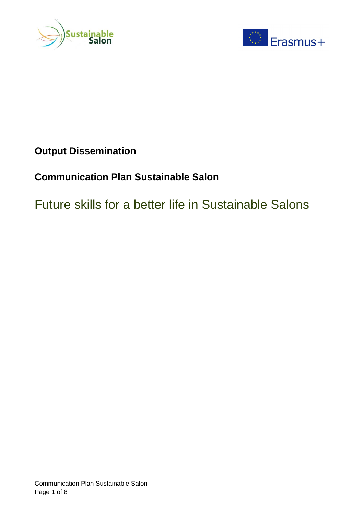



# **Output Dissemination**

# **Communication Plan Sustainable Salon**

# Future skills for a better life in Sustainable Salons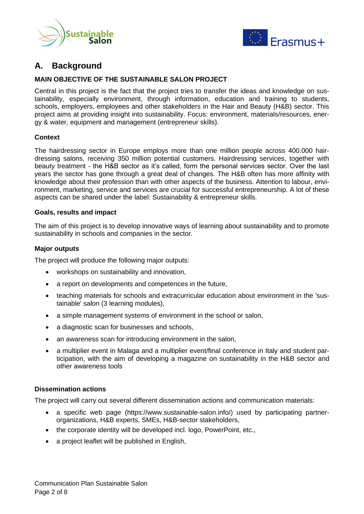



# **A. Background**

#### **MAIN OBJECTIVE OF THE SUSTAINABLE SALON PROJECT**

Central in this project is the fact that the project tries to transfer the ideas and knowledge on sustainability, especially environment, through information, education and training to students, schools, employers, employees and other stakeholders in the Hair and Beauty (H&B) sector. This project aims at providing insight into sustainability. Focus: environment, materials/resources, energy & water, equipment and management (entrepreneur skills).

#### **Context**

The hairdressing sector in Europe employs more than one million people across 400.000 hairdressing salons, receiving 350 million potential customers. Hairdressing services, together with beauty treatment - the H&B sector as it's called, form the personal services sector. Over the last years the sector has gone through a great deal of changes. The H&B often has more affinity with knowledge about their profession than with other aspects of the business. Attention to labour, environment, marketing, service and services are crucial for successful entrepreneurship. A lot of these aspects can be shared under the label: Sustainability & entrepreneur skills.

#### **Goals, results and impact**

The aim of this project is to develop innovative ways of learning about sustainability and to promote sustainability in schools and companies in the sector.

#### **Major outputs**

The project will produce the following major outputs:

- workshops on sustainability and innovation,
- a report on developments and competences in the future,
- teaching materials for schools and extracurricular education about environment in the 'sustainable' salon (3 learning modules),
- a simple management systems of environment in the school or salon,
- a diagnostic scan for businesses and schools,
- an awareness scan for introducing environment in the salon,
- a multiplier event in Malaga and a multiplier event/final conference in Italy and student participation, with the aim of developing a magazine on sustainability in the H&B sector and other awareness tools

#### **Dissemination actions**

The project will carry out several different dissemination actions and communication materials:

- a specific web page (https://www.sustainable-salon.info/) used by participating partnerorganizations, H&B experts, SMEs, H&B-sector stakeholders,
- the corporate identity will be developed incl. logo, PowerPoint, etc.,
- a project leaflet will be published in English,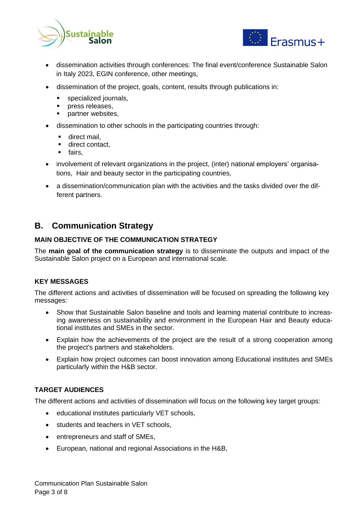



- dissemination activities through conferences: The final event/conference Sustainable Salon in Italy 2023, EGIN conference, other meetings,
- dissemination of the project, goals, content, results through publications in:
	- specialized journals,
	- **·** press releases.
	- partner websites,
- dissemination to other schools in the participating countries through:
	- **·** direct mail.
	- direct contact.
	- fairs.
- involvement of relevant organizations in the project, (inter) national employers' organisations, Hair and beauty sector in the participating countries,
- a dissemination/communication plan with the activities and the tasks divided over the different partners.

## **B. Communication Strategy**

## **MAIN OBJECTIVE OF THE COMMUNICATION STRATEGY**

The **main goal of the communication strategy** is to disseminate the outputs and impact of the Sustainable Salon project on a European and international scale.

#### **KEY MESSAGES**

The different actions and activities of dissemination will be focused on spreading the following key messages:

- Show that Sustainable Salon baseline and tools and learning material contribute to increasing awareness on sustainability and environment in the European Hair and Beauty educational institutes and SMEs in the sector.
- Explain how the achievements of the project are the result of a strong cooperation among the project's partners and stakeholders.
- Explain how project outcomes can boost innovation among Educational institutes and SMEs particularly within the H&B sector.

## **TARGET AUDIENCES**

The different actions and activities of dissemination will focus on the following key target groups:

- educational institutes particularly VET schools,
- students and teachers in VET schools,
- entrepreneurs and staff of SMEs,
- European, national and regional Associations in the H&B,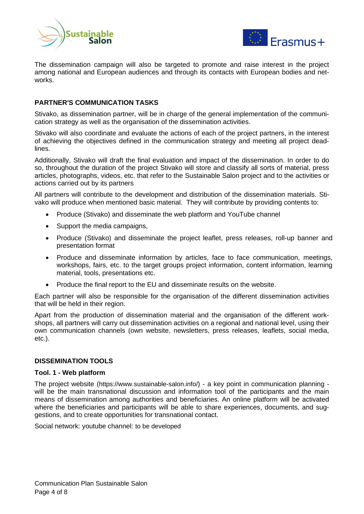



The dissemination campaign will also be targeted to promote and raise interest in the project among national and European audiences and through its contacts with European bodies and networks.

#### **PARTNER'S COMMUNICATION TASKS**

Stivako, as dissemination partner, will be in charge of the general implementation of the communication strategy as well as the organisation of the dissemination activities.

Stivako will also coordinate and evaluate the actions of each of the project partners, in the interest of achieving the objectives defined in the communication strategy and meeting all project deadlines.

Additionally, Stivako will draft the final evaluation and impact of the dissemination. In order to do so, throughout the duration of the project Stivako will store and classify all sorts of material, press articles, photographs, videos, etc. that refer to the Sustainable Salon project and to the activities or actions carried out by its partners

All partners will contribute to the development and distribution of the dissemination materials. Stivako will produce when mentioned basic material. They will contribute by providing contents to:

- Produce (Stivako) and disseminate the web platform and YouTube channel
- Support the media campaigns,
- Produce (Stivako) and disseminate the project leaflet, press releases, roll-up banner and presentation format
- Produce and disseminate information by articles, face to face communication, meetings, workshops, fairs, etc. to the target groups project information, content information, learning material, tools, presentations etc.
- Produce the final report to the EU and disseminate results on the website.

Each partner will also be responsible for the organisation of the different dissemination activities that will be held in their region.

Apart from the production of dissemination material and the organisation of the different workshops, all partners will carry out dissemination activities on a regional and national level, using their own communication channels (own website, newsletters, press releases, leaflets, social media, etc.).

#### **DISSEMINATION TOOLS**

#### **Tool. 1 - Web platform**

The project website (https://www.sustainable-salon.info/) - a key point in communication planning will be the main transnational discussion and information tool of the participants and the main means of dissemination among authorities and beneficiaries. An online platform will be activated where the beneficiaries and participants will be able to share experiences, documents, and suggestions, and to create opportunities for transnational contact.

Social network: youtube channel: to be developed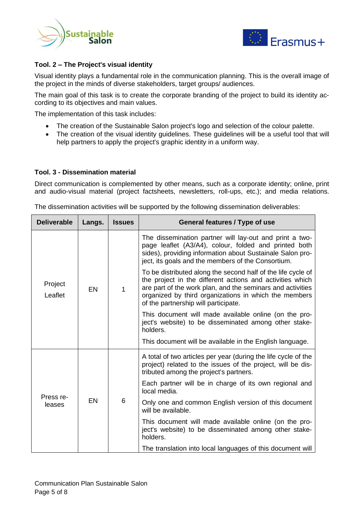



#### **Tool. 2 – The Project's visual identity**

Visual identity plays a fundamental role in the communication planning. This is the overall image of the project in the minds of diverse stakeholders, target groups/ audiences.

The main goal of this task is to create the corporate branding of the project to build its identity according to its objectives and main values.

The implementation of this task includes:

- The creation of the Sustainable Salon project's logo and selection of the colour palette.
- The creation of the visual identity guidelines. These guidelines will be a useful tool that will help partners to apply the project's graphic identity in a uniform way.

#### **Tool. 3 - Dissemination material**

Direct communication is complemented by other means, such as a corporate identity; online, print and audio-visual material (project factsheets, newsletters, roll-ups, etc.); and media relations.

The dissemination activities will be supported by the following dissemination deliverables:

| <b>Deliverable</b>  | Langs.    | <b>Issues</b> | General features / Type of use                                                                                                                                                                                                                                                           |
|---------------------|-----------|---------------|------------------------------------------------------------------------------------------------------------------------------------------------------------------------------------------------------------------------------------------------------------------------------------------|
| Project<br>Leaflet  | EN        | 1             | The dissemination partner will lay-out and print a two-<br>page leaflet (A3/A4), colour, folded and printed both<br>sides), providing information about Sustainale Salon pro-<br>ject, its goals and the members of the Consortium.                                                      |
|                     |           |               | To be distributed along the second half of the life cycle of<br>the project in the different actions and activities which<br>are part of the work plan, and the seminars and activities<br>organized by third organizations in which the members<br>of the partnership will participate. |
|                     |           |               | This document will made available online (on the pro-<br>ject's website) to be disseminated among other stake-<br>holders.                                                                                                                                                               |
|                     |           |               | This document will be available in the English language.                                                                                                                                                                                                                                 |
| Press re-<br>leases | <b>EN</b> | 6             | A total of two articles per year (during the life cycle of the<br>project) related to the issues of the project, will be dis-<br>tributed among the project's partners.                                                                                                                  |
|                     |           |               | Each partner will be in charge of its own regional and<br>local media.                                                                                                                                                                                                                   |
|                     |           |               | Only one and common English version of this document<br>will be available.                                                                                                                                                                                                               |
|                     |           |               | This document will made available online (on the pro-<br>ject's website) to be disseminated among other stake-<br>holders.                                                                                                                                                               |
|                     |           |               | The translation into local languages of this document will                                                                                                                                                                                                                               |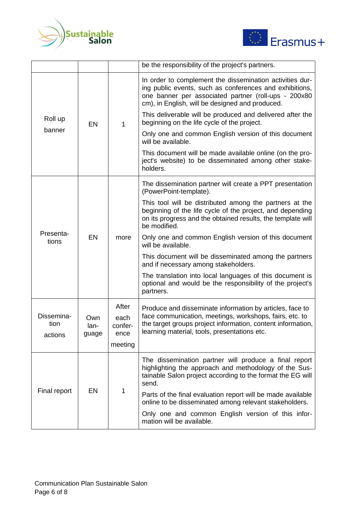



|                               |                      |                         | be the responsibility of the project's partners.                                                                                                                                                                                                                                                                                                                                                                                                                                                                                                          |
|-------------------------------|----------------------|-------------------------|-----------------------------------------------------------------------------------------------------------------------------------------------------------------------------------------------------------------------------------------------------------------------------------------------------------------------------------------------------------------------------------------------------------------------------------------------------------------------------------------------------------------------------------------------------------|
| Roll up<br>banner             | EN                   | 1                       | In order to complement the dissemination activities dur-<br>ing public events, such as conferences and exhibitions,<br>one banner per associated partner (roll-ups - 200x80<br>cm), in English, will be designed and produced.<br>This deliverable will be produced and delivered after the<br>beginning on the life cycle of the project.<br>Only one and common English version of this document<br>will be available.<br>This document will be made available online (on the pro-<br>ject's website) to be disseminated among other stake-<br>holders. |
| Presenta-<br>tions            | EN                   | more                    | The dissemination partner will create a PPT presentation<br>(PowerPoint-template).                                                                                                                                                                                                                                                                                                                                                                                                                                                                        |
|                               |                      |                         | This tool will be distributed among the partners at the<br>beginning of the life cycle of the project, and depending<br>on its progress and the obtained results, the template will<br>be modified.                                                                                                                                                                                                                                                                                                                                                       |
|                               |                      |                         | Only one and common English version of this document<br>will be available.                                                                                                                                                                                                                                                                                                                                                                                                                                                                                |
|                               |                      |                         | This document will be disseminated among the partners<br>and if necessary among stakeholders.                                                                                                                                                                                                                                                                                                                                                                                                                                                             |
|                               |                      |                         | The translation into local languages of this document is<br>optional and would be the responsibility of the project's<br>partners.                                                                                                                                                                                                                                                                                                                                                                                                                        |
| Dissemina-<br>tion<br>actions | Own<br>lan-<br>guage | After                   | Produce and disseminate information by articles, face to<br>face communication, meetings, workshops, fairs, etc. to<br>the target groups project information, content information,<br>learning material, tools, presentations etc.                                                                                                                                                                                                                                                                                                                        |
|                               |                      | each<br>confer-<br>ence |                                                                                                                                                                                                                                                                                                                                                                                                                                                                                                                                                           |
|                               |                      | meeting                 |                                                                                                                                                                                                                                                                                                                                                                                                                                                                                                                                                           |
| Final report                  | EN                   | 1                       | The dissemination partner will produce a final report<br>highlighting the approach and methodology of the Sus-<br>tainable Salon project according to the format the EG will<br>send.                                                                                                                                                                                                                                                                                                                                                                     |
|                               |                      |                         | Parts of the final evaluation report will be made available<br>online to be disseminated among relevant stakeholders.                                                                                                                                                                                                                                                                                                                                                                                                                                     |
|                               |                      |                         | Only one and common English version of this infor-<br>mation will be available.                                                                                                                                                                                                                                                                                                                                                                                                                                                                           |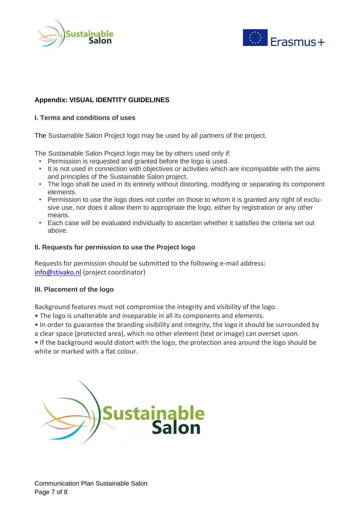



### **Appendix: VISUAL IDENTITY GUIDELINES**

#### **I. Terms and conditions of uses**

The Sustainable Salon Project logo may be used by all partners of the project.

The Sustainable Salon Project logo may be by others used only if:

- Permission is requested and granted before the logo is used.
- It is not used in connection with objectives or activities which are incompatible with the aims and principles of the Sustainable Salon project.
- The logo shall be used in its entirety without distorting, modifying or separating its component elements.
- Permission to use the logo does not confer on those to whom it is granted any right of exclusive use, nor does it allow them to appropriate the logo, either by registration or any other means.
- Each case will be evaluated individually to ascertain whether it satisfies the criteria set out above.

#### **II. Requests for permission to use the Project logo**

Requests for permission should be submitted to the following e-mail address: [info@stivako.nl](mailto:info@stivako.nl) (project coordinator)

#### **III. Placement of the logo**

Background features must not compromise the integrity and visibility of the logo.

- The logo is unalterable and inseparable in all its components and elements.
- In order to guarantee the branding visibility and integrity, the logo it should be surrounded by a clear space (protected area), which no other element (text or image) can overset upon.

• If the background would distort with the logo, the protection area around the logo should be white or marked with a flat colour.